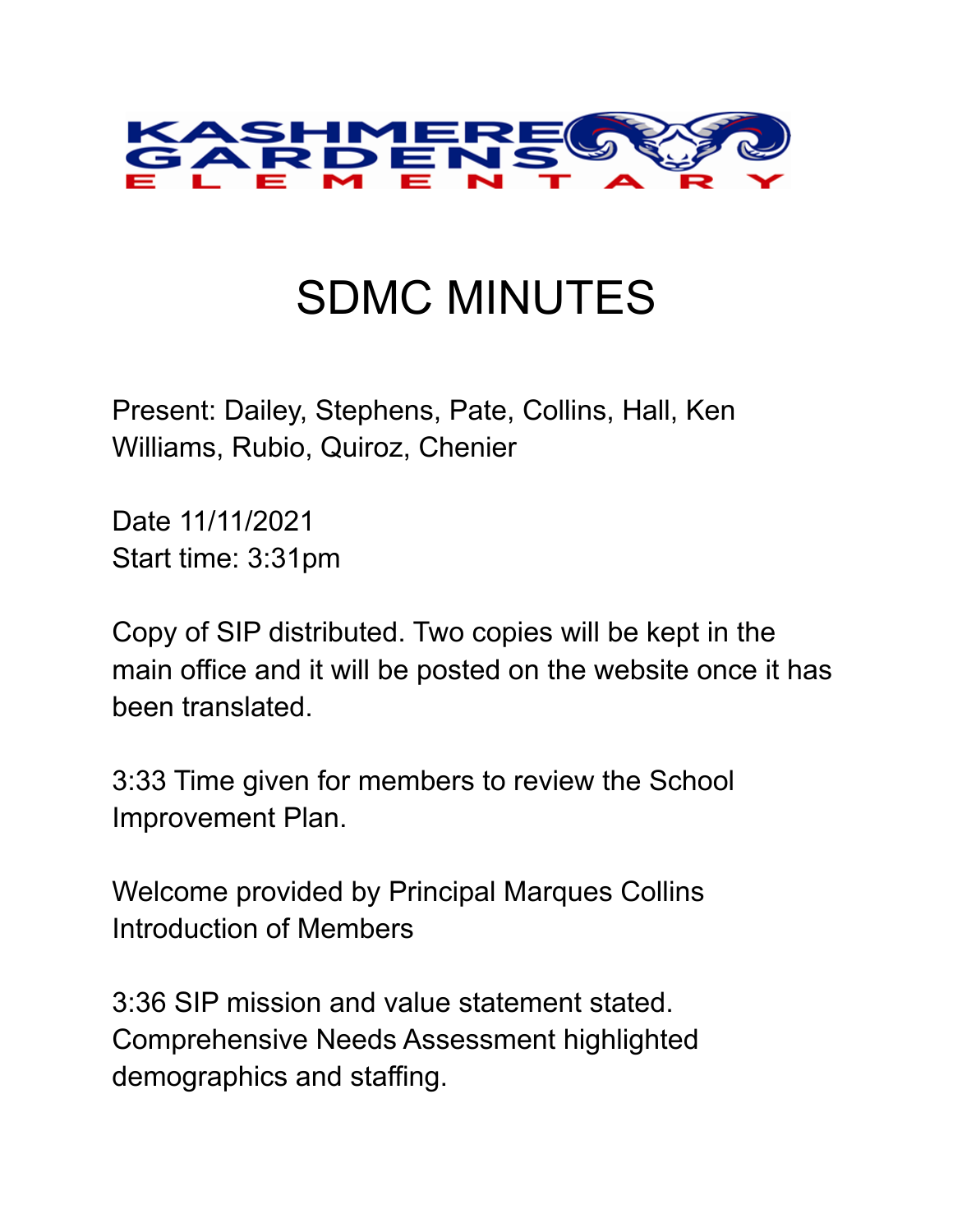

## SDMC MINUTES

Present: Dailey, Stephens, Pate, Collins, Hall, Ken Williams, Rubio, Quiroz, Chenier

Date 11/11/2021 Start time: 3:31pm

Copy of SIP distributed. Two copies will be kept in the main office and it will be posted on the website once it has been translated.

3:33 Time given for members to review the School Improvement Plan.

Welcome provided by Principal Marques Collins Introduction of Members

3:36 SIP mission and value statement stated. Comprehensive Needs Assessment highlighted demographics and staffing.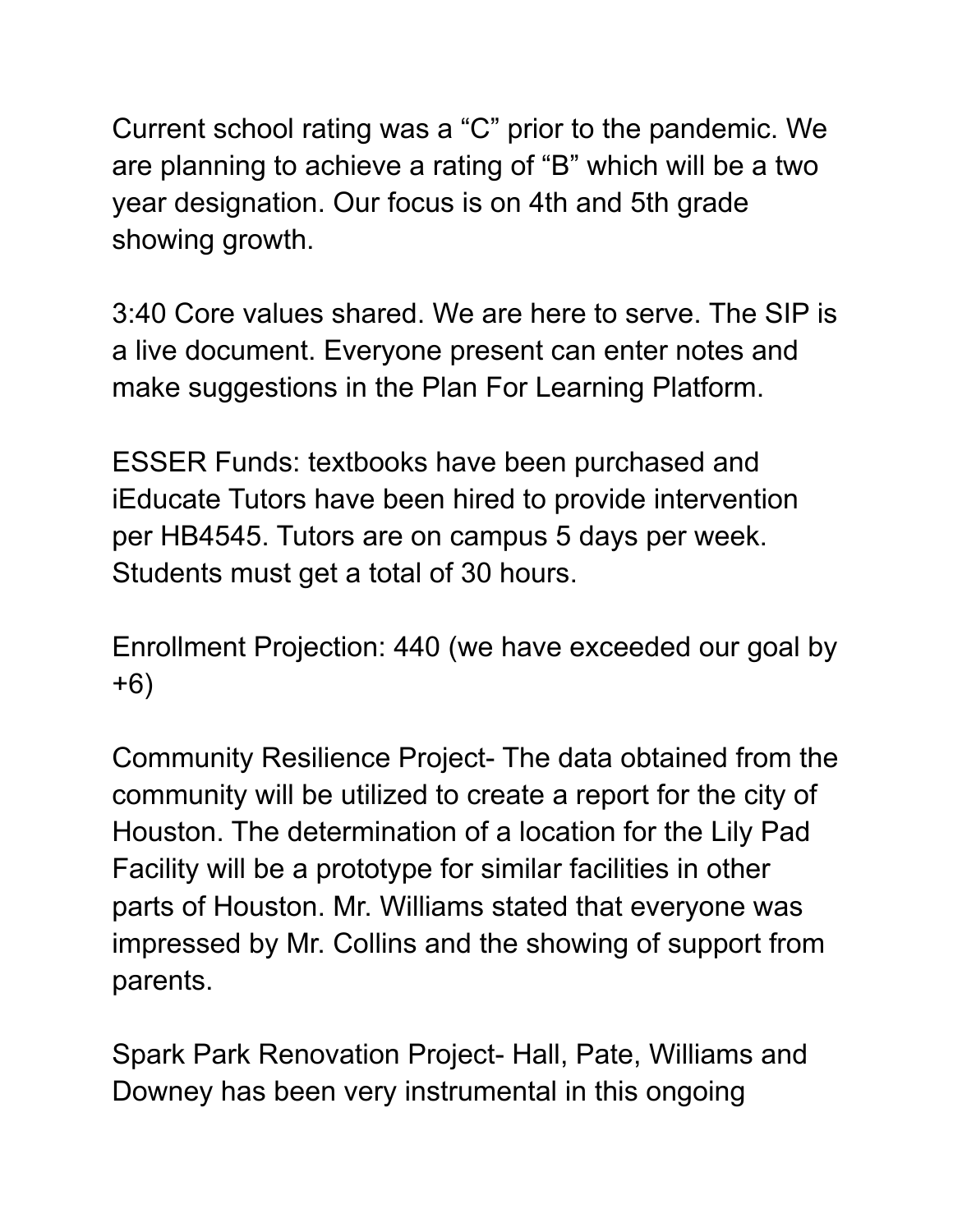Current school rating was a "C" prior to the pandemic. We are planning to achieve a rating of "B" which will be a two year designation. Our focus is on 4th and 5th grade showing growth.

3:40 Core values shared. We are here to serve. The SIP is a live document. Everyone present can enter notes and make suggestions in the Plan For Learning Platform.

ESSER Funds: textbooks have been purchased and iEducate Tutors have been hired to provide intervention per HB4545. Tutors are on campus 5 days per week. Students must get a total of 30 hours.

Enrollment Projection: 440 (we have exceeded our goal by +6)

Community Resilience Project- The data obtained from the community will be utilized to create a report for the city of Houston. The determination of a location for the Lily Pad Facility will be a prototype for similar facilities in other parts of Houston. Mr. Williams stated that everyone was impressed by Mr. Collins and the showing of support from parents.

Spark Park Renovation Project- Hall, Pate, Williams and Downey has been very instrumental in this ongoing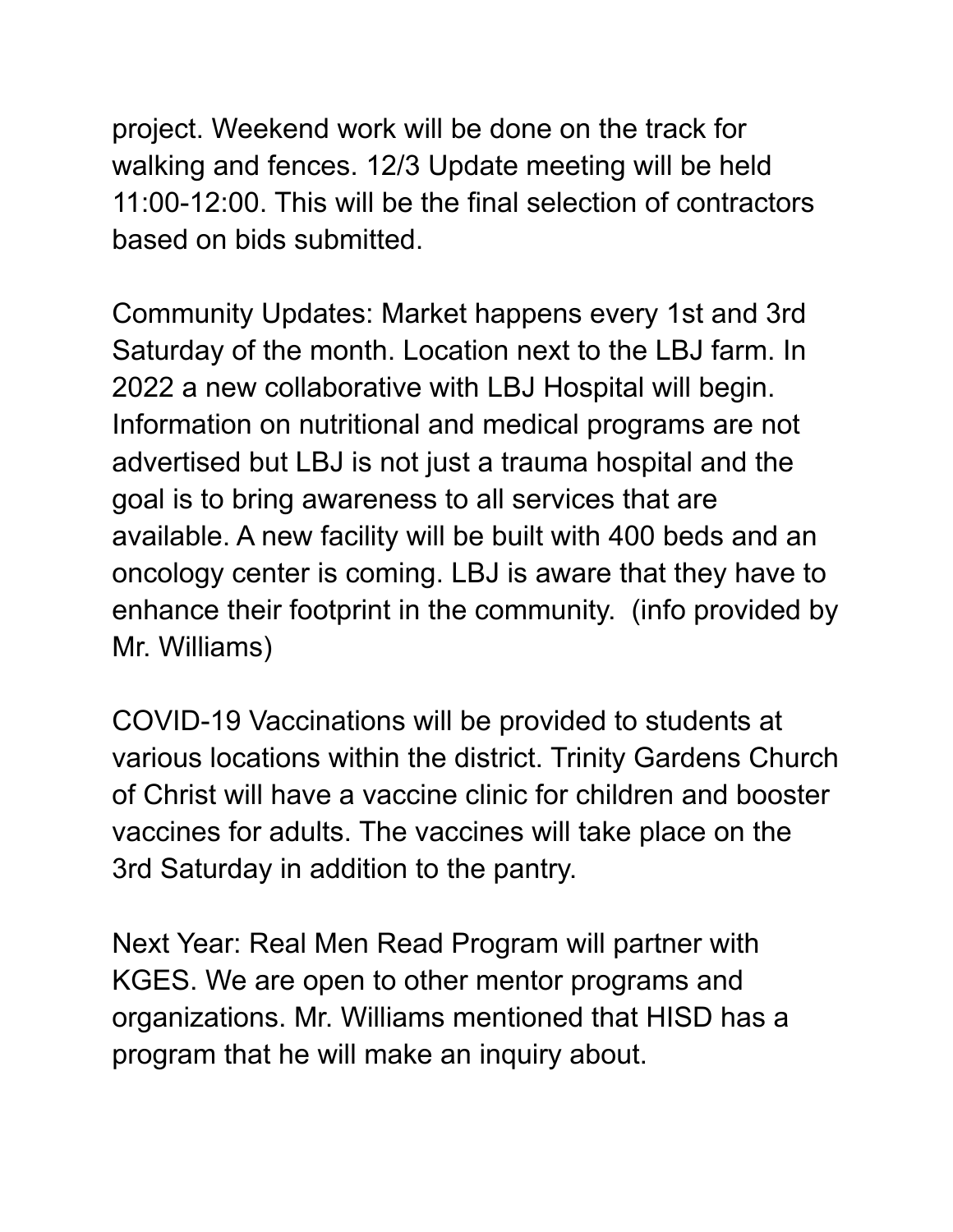project. Weekend work will be done on the track for walking and fences. 12/3 Update meeting will be held 11:00-12:00. This will be the final selection of contractors based on bids submitted.

Community Updates: Market happens every 1st and 3rd Saturday of the month. Location next to the LBJ farm. In 2022 a new collaborative with LBJ Hospital will begin. Information on nutritional and medical programs are not advertised but LBJ is not just a trauma hospital and the goal is to bring awareness to all services that are available. A new facility will be built with 400 beds and an oncology center is coming. LBJ is aware that they have to enhance their footprint in the community. (info provided by Mr. Williams)

COVID-19 Vaccinations will be provided to students at various locations within the district. Trinity Gardens Church of Christ will have a vaccine clinic for children and booster vaccines for adults. The vaccines will take place on the 3rd Saturday in addition to the pantry.

Next Year: Real Men Read Program will partner with KGES. We are open to other mentor programs and organizations. Mr. Williams mentioned that HISD has a program that he will make an inquiry about.